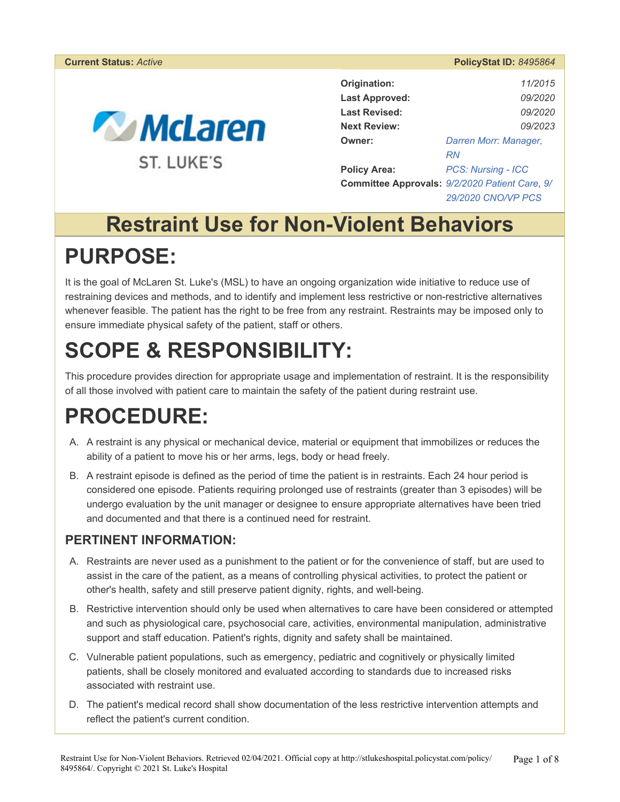#### **Current Status:** *Active* **PolicyStat ID:** *8495864*



| Origination:          | 11/2015                                        |  |
|-----------------------|------------------------------------------------|--|
| <b>Last Approved:</b> | <i>09/2020</i>                                 |  |
| <b>Last Revised:</b>  | <i>09/2020</i>                                 |  |
| <b>Next Review:</b>   | 09/2023                                        |  |
| Owner:                | Darren Morr: Manager,                          |  |
|                       | RN                                             |  |
| <b>Policy Area:</b>   | <b>PCS: Nursing - ICC</b>                      |  |
|                       | Committee Approvals: 9/2/2020 Patient Care, 9/ |  |
|                       | 29/2020 CNO/VP PCS                             |  |

## **Restraint Use for Non-Violent Behaviors**

## **PURPOSE:**

It is the goal of McLaren St. Luke's (MSL) to have an ongoing organization wide initiative to reduce use of restraining devices and methods, and to identify and implement less restrictive or non-restrictive alternatives whenever feasible. The patient has the right to be free from any restraint. Restraints may be imposed only to ensure immediate physical safety of the patient, staff or others.

# **SCOPE & RESPONSIBILITY:**

This procedure provides direction for appropriate usage and implementation of restraint. It is the responsibility of all those involved with patient care to maintain the safety of the patient during restraint use.

## **PROCEDURE:**

- A. A restraint is any physical or mechanical device, material or equipment that immobilizes or reduces the ability of a patient to move his or her arms, legs, body or head freely.
- B. A restraint episode is defined as the period of time the patient is in restraints. Each 24 hour period is considered one episode. Patients requiring prolonged use of restraints (greater than 3 episodes) will be undergo evaluation by the unit manager or designee to ensure appropriate alternatives have been tried and documented and that there is a continued need for restraint.

### **PERTINENT INFORMATION:**

- A. Restraints are never used as a punishment to the patient or for the convenience of staff, but are used to assist in the care of the patient, as a means of controlling physical activities, to protect the patient or other's health, safety and still preserve patient dignity, rights, and well-being.
- B. Restrictive intervention should only be used when alternatives to care have been considered or attempted and such as physiological care, psychosocial care, activities, environmental manipulation, administrative support and staff education. Patient's rights, dignity and safety shall be maintained.
- C. Vulnerable patient populations, such as emergency, pediatric and cognitively or physically limited patients, shall be closely monitored and evaluated according to standards due to increased risks associated with restraint use.
- D. The patient's medical record shall show documentation of the less restrictive intervention attempts and reflect the patient's current condition.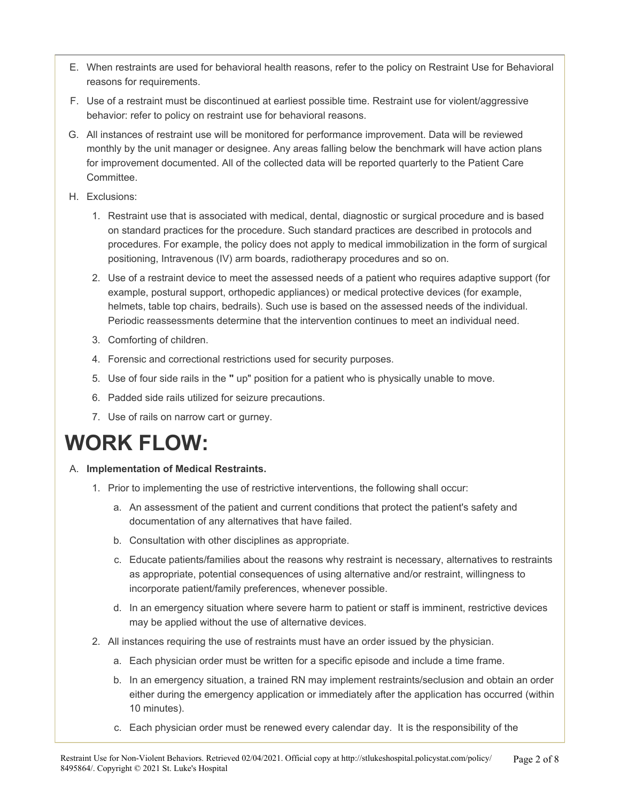- E. When restraints are used for behavioral health reasons, refer to the policy on Restraint Use for Behavioral reasons for requirements.
- F. Use of a restraint must be discontinued at earliest possible time. Restraint use for violent/aggressive behavior: refer to policy on restraint use for behavioral reasons.
- G. All instances of restraint use will be monitored for performance improvement. Data will be reviewed monthly by the unit manager or designee. Any areas falling below the benchmark will have action plans for improvement documented. All of the collected data will be reported quarterly to the Patient Care Committee.
- H. Exclusions:
	- 1. Restraint use that is associated with medical, dental, diagnostic or surgical procedure and is based on standard practices for the procedure. Such standard practices are described in protocols and procedures. For example, the policy does not apply to medical immobilization in the form of surgical positioning, Intravenous (IV) arm boards, radiotherapy procedures and so on.
	- 2. Use of a restraint device to meet the assessed needs of a patient who requires adaptive support (for example, postural support, orthopedic appliances) or medical protective devices (for example, helmets, table top chairs, bedrails). Such use is based on the assessed needs of the individual. Periodic reassessments determine that the intervention continues to meet an individual need.
	- 3. Comforting of children.
	- 4. Forensic and correctional restrictions used for security purposes.
	- 5. Use of four side rails in the **"** up" position for a patient who is physically unable to move.
	- 6. Padded side rails utilized for seizure precautions.
	- 7. Use of rails on narrow cart or gurney.

## **WORK FLOW:**

#### A. **Implementation of Medical Restraints.**

- 1. Prior to implementing the use of restrictive interventions, the following shall occur:
	- a. An assessment of the patient and current conditions that protect the patient's safety and documentation of any alternatives that have failed.
	- b. Consultation with other disciplines as appropriate.
	- c. Educate patients/families about the reasons why restraint is necessary, alternatives to restraints as appropriate, potential consequences of using alternative and/or restraint, willingness to incorporate patient/family preferences, whenever possible.
	- d. In an emergency situation where severe harm to patient or staff is imminent, restrictive devices may be applied without the use of alternative devices.
- 2. All instances requiring the use of restraints must have an order issued by the physician.
	- a. Each physician order must be written for a specific episode and include a time frame.
	- b. In an emergency situation, a trained RN may implement restraints/seclusion and obtain an order either during the emergency application or immediately after the application has occurred (within 10 minutes).
	- c. Each physician order must be renewed every calendar day. It is the responsibility of the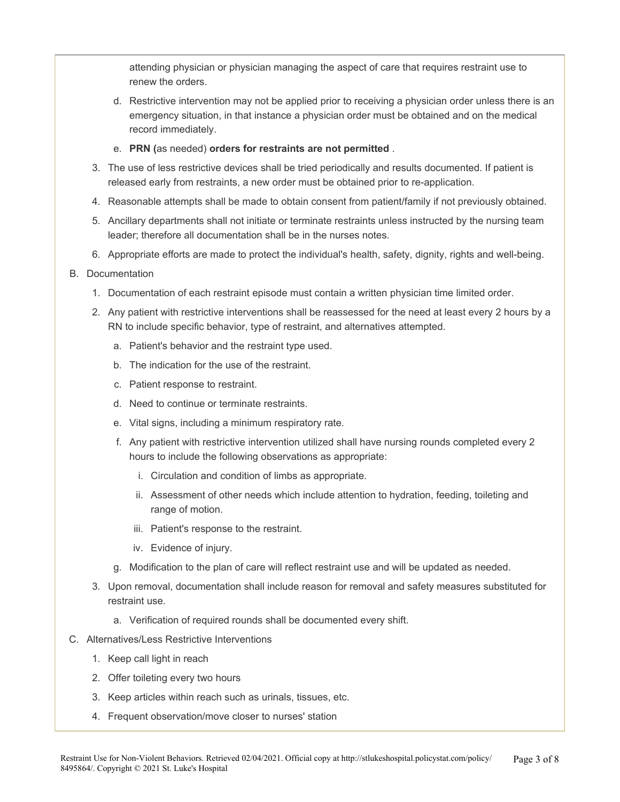attending physician or physician managing the aspect of care that requires restraint use to renew the orders.

- d. Restrictive intervention may not be applied prior to receiving a physician order unless there is an emergency situation, in that instance a physician order must be obtained and on the medical record immediately.
- e. **PRN (**as needed) **orders for restraints are not permitted** .
- 3. The use of less restrictive devices shall be tried periodically and results documented. If patient is released early from restraints, a new order must be obtained prior to re-application.
- 4. Reasonable attempts shall be made to obtain consent from patient/family if not previously obtained.
- 5. Ancillary departments shall not initiate or terminate restraints unless instructed by the nursing team leader; therefore all documentation shall be in the nurses notes.
- 6. Appropriate efforts are made to protect the individual's health, safety, dignity, rights and well-being.

#### B. Documentation

- 1. Documentation of each restraint episode must contain a written physician time limited order.
- 2. Any patient with restrictive interventions shall be reassessed for the need at least every 2 hours by a RN to include specific behavior, type of restraint, and alternatives attempted.
	- a. Patient's behavior and the restraint type used.
	- b. The indication for the use of the restraint.
	- c. Patient response to restraint.
	- d. Need to continue or terminate restraints.
	- e. Vital signs, including a minimum respiratory rate.
	- f. Any patient with restrictive intervention utilized shall have nursing rounds completed every 2 hours to include the following observations as appropriate:
		- i. Circulation and condition of limbs as appropriate.
		- ii. Assessment of other needs which include attention to hydration, feeding, toileting and range of motion.
		- iii. Patient's response to the restraint.
		- iv. Evidence of injury.
	- g. Modification to the plan of care will reflect restraint use and will be updated as needed.
- 3. Upon removal, documentation shall include reason for removal and safety measures substituted for restraint use.
	- a. Verification of required rounds shall be documented every shift.
- C. Alternatives/Less Restrictive Interventions
	- 1. Keep call light in reach
	- 2. Offer toileting every two hours
	- 3. Keep articles within reach such as urinals, tissues, etc.
	- 4. Frequent observation/move closer to nurses' station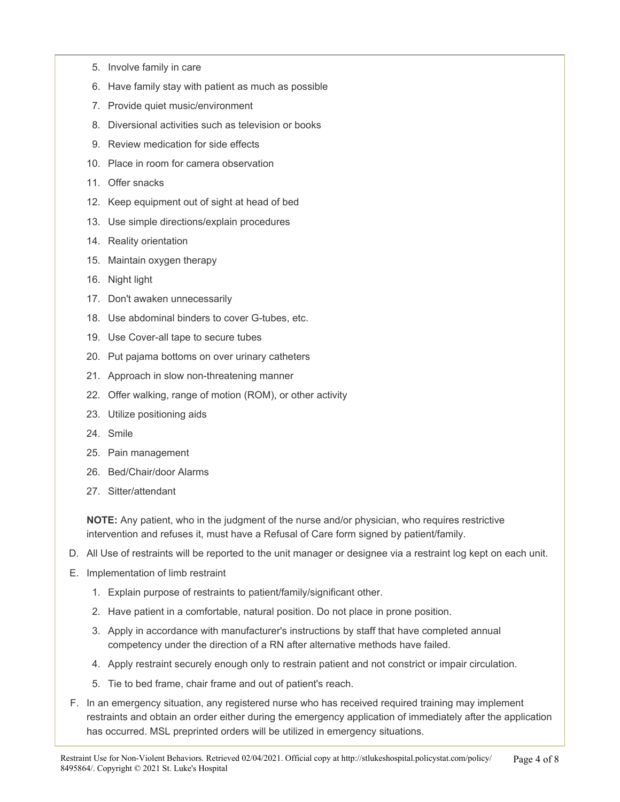- 5. Involve family in care
- 6. Have family stay with patient as much as possible
- 7. Provide quiet music/environment
- 8. Diversional activities such as television or books
- 9. Review medication for side effects
- 10. Place in room for camera observation
- 11. Offer snacks
- 12. Keep equipment out of sight at head of bed
- 13. Use simple directions/explain procedures
- 14. Reality orientation
- 15. Maintain oxygen therapy
- 16. Night light
- 17. Don't awaken unnecessarily
- 18. Use abdominal binders to cover G-tubes, etc.
- 19. Use Cover-all tape to secure tubes
- 20. Put pajama bottoms on over urinary catheters
- 21. Approach in slow non-threatening manner
- 22. Offer walking, range of motion (ROM), or other activity
- 23. Utilize positioning aids
- 24. Smile
- 25. Pain management
- 26. Bed/Chair/door Alarms
- 27. Sitter/attendant

**NOTE:** Any patient, who in the judgment of the nurse and/or physician, who requires restrictive intervention and refuses it, must have a Refusal of Care form signed by patient/family.

- D. All Use of restraints will be reported to the unit manager or designee via a restraint log kept on each unit.
- E. Implementation of limb restraint
	- 1. Explain purpose of restraints to patient/family/significant other.
	- 2. Have patient in a comfortable, natural position. Do not place in prone position.
	- 3. Apply in accordance with manufacturer's instructions by staff that have completed annual competency under the direction of a RN after alternative methods have failed.
	- 4. Apply restraint securely enough only to restrain patient and not constrict or impair circulation.
	- 5. Tie to bed frame, chair frame and out of patient's reach.
- F. In an emergency situation, any registered nurse who has received required training may implement restraints and obtain an order either during the emergency application of immediately after the application has occurred. MSL preprinted orders will be utilized in emergency situations.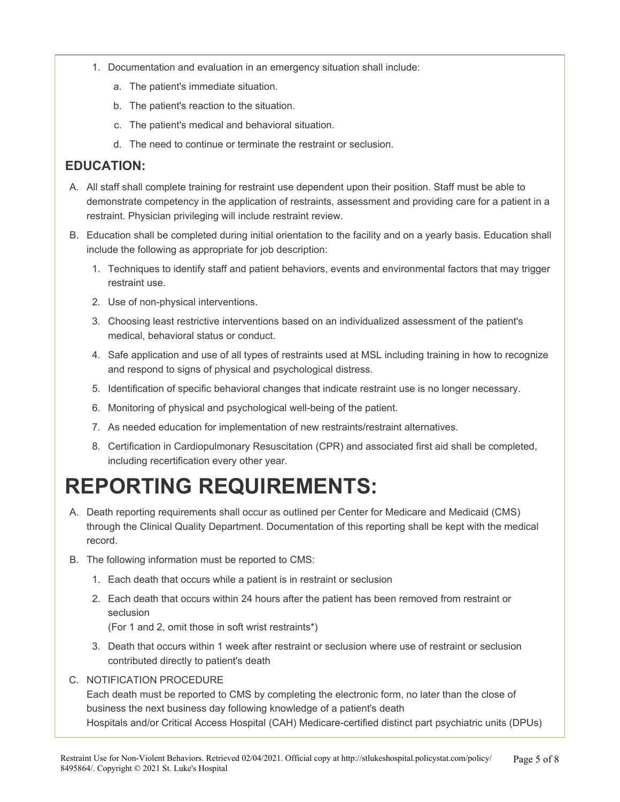- 1. Documentation and evaluation in an emergency situation shall include:
	- a. The patient's immediate situation.
	- b. The patient's reaction to the situation.
	- c. The patient's medical and behavioral situation.
	- d. The need to continue or terminate the restraint or seclusion.

### **EDUCATION:**

- A. All staff shall complete training for restraint use dependent upon their position. Staff must be able to demonstrate competency in the application of restraints, assessment and providing care for a patient in a restraint. Physician privileging will include restraint review.
- B. Education shall be completed during initial orientation to the facility and on a yearly basis. Education shall include the following as appropriate for job description:
	- 1. Techniques to identify staff and patient behaviors, events and environmental factors that may trigger restraint use.
	- 2. Use of non-physical interventions.
	- 3. Choosing least restrictive interventions based on an individualized assessment of the patient's medical, behavioral status or conduct.
	- 4. Safe application and use of all types of restraints used at MSL including training in how to recognize and respond to signs of physical and psychological distress.
	- 5. Identification of specific behavioral changes that indicate restraint use is no longer necessary.
	- 6. Monitoring of physical and psychological well-being of the patient.
	- 7. As needed education for implementation of new restraints/restraint alternatives.
	- 8. Certification in Cardiopulmonary Resuscitation (CPR) and associated first aid shall be completed, including recertification every other year.

# **REPORTING REQUIREMENTS:**

- A. Death reporting requirements shall occur as outlined per Center for Medicare and Medicaid (CMS) through the Clinical Quality Department. Documentation of this reporting shall be kept with the medical record.
- B. The following information must be reported to CMS:
	- 1. Each death that occurs while a patient is in restraint or seclusion
	- 2. Each death that occurs within 24 hours after the patient has been removed from restraint or seclusion

(For 1 and 2, omit those in soft wrist restraints\*)

- 3. Death that occurs within 1 week after restraint or seclusion where use of restraint or seclusion contributed directly to patient's death
- C. NOTIFICATION PROCEDURE

Each death must be reported to CMS by completing the electronic form, no later than the close of business the next business day following knowledge of a patient's death Hospitals and/or Critical Access Hospital (CAH) Medicare-certified distinct part psychiatric units (DPUs)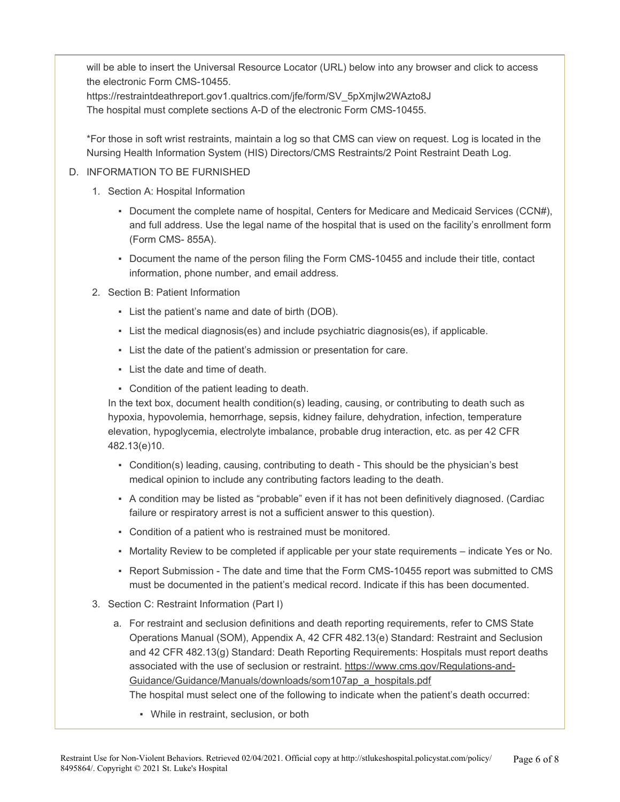will be able to insert the Universal Resource Locator (URL) below into any browser and click to access the electronic Form CMS-10455.

https://restraintdeathreport.gov1.qualtrics.com/jfe/form/SV\_5pXmjIw2WAzto8J The hospital must complete sections A-D of the electronic Form CMS-10455.

\*For those in soft wrist restraints, maintain a log so that CMS can view on request. Log is located in the Nursing Health Information System (HIS) Directors/CMS Restraints/2 Point Restraint Death Log.

#### D. INFORMATION TO BE FURNISHED

- 1. Section A: Hospital Information
	- Document the complete name of hospital, Centers for Medicare and Medicaid Services (CCN#), and full address. Use the legal name of the hospital that is used on the facility's enrollment form (Form CMS- 855A).
	- Document the name of the person filing the Form CMS-10455 and include their title, contact information, phone number, and email address.
- 2. Section B: Patient Information
	- List the patient's name and date of birth (DOB).
	- List the medical diagnosis(es) and include psychiatric diagnosis(es), if applicable.
	- List the date of the patient's admission or presentation for care.
	- List the date and time of death.
	- Condition of the patient leading to death.

In the text box, document health condition(s) leading, causing, or contributing to death such as hypoxia, hypovolemia, hemorrhage, sepsis, kidney failure, dehydration, infection, temperature elevation, hypoglycemia, electrolyte imbalance, probable drug interaction, etc. as per 42 CFR 482.13(e)10.

- Condition(s) leading, causing, contributing to death This should be the physician's best medical opinion to include any contributing factors leading to the death.
- A condition may be listed as "probable" even if it has not been definitively diagnosed. (Cardiac failure or respiratory arrest is not a sufficient answer to this question).
- Condition of a patient who is restrained must be monitored.
- Mortality Review to be completed if applicable per your state requirements indicate Yes or No.
- Report Submission The date and time that the Form CMS-10455 report was submitted to CMS must be documented in the patient's medical record. Indicate if this has been documented.
- 3. Section C: Restraint Information (Part I)
	- a. For restraint and seclusion definitions and death reporting requirements, refer to CMS State Operations Manual (SOM), Appendix A, 42 CFR 482.13(e) Standard: Restraint and Seclusion and 42 CFR 482.13(g) Standard: Death Reporting Requirements: Hospitals must report deaths associated with the use of seclusion or restraint. https://www.cms.gov/Regulations-and-Guidance/Guidance/Manuals/downloads/som107ap\_a\_hospitals.pdf

The hospital must select one of the following to indicate when the patient's death occurred:

▪ While in restraint, seclusion, or both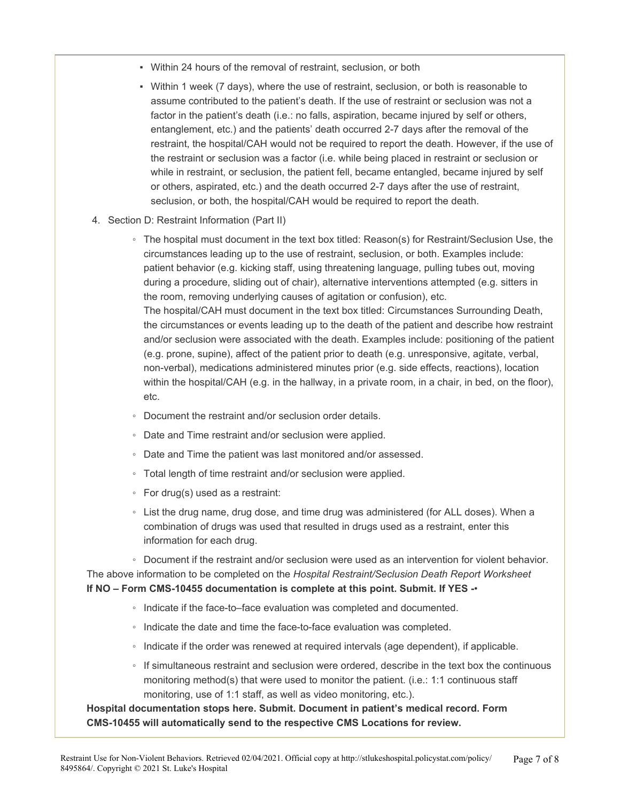- Within 24 hours of the removal of restraint, seclusion, or both
- Within 1 week (7 days), where the use of restraint, seclusion, or both is reasonable to assume contributed to the patient's death. If the use of restraint or seclusion was not a factor in the patient's death (i.e.: no falls, aspiration, became injured by self or others, entanglement, etc.) and the patients' death occurred 2-7 days after the removal of the restraint, the hospital/CAH would not be required to report the death. However, if the use of the restraint or seclusion was a factor (i.e. while being placed in restraint or seclusion or while in restraint, or seclusion, the patient fell, became entangled, became injured by self or others, aspirated, etc.) and the death occurred 2-7 days after the use of restraint, seclusion, or both, the hospital/CAH would be required to report the death.
- 4. Section D: Restraint Information (Part II)
	- The hospital must document in the text box titled: Reason(s) for Restraint/Seclusion Use, the circumstances leading up to the use of restraint, seclusion, or both. Examples include: patient behavior (e.g. kicking staff, using threatening language, pulling tubes out, moving during a procedure, sliding out of chair), alternative interventions attempted (e.g. sitters in the room, removing underlying causes of agitation or confusion), etc. The hospital/CAH must document in the text box titled: Circumstances Surrounding Death, the circumstances or events leading up to the death of the patient and describe how restraint and/or seclusion were associated with the death. Examples include: positioning of the patient (e.g. prone, supine), affect of the patient prior to death (e.g. unresponsive, agitate, verbal, non-verbal), medications administered minutes prior (e.g. side effects, reactions), location within the hospital/CAH (e.g. in the hallway, in a private room, in a chair, in bed, on the floor), etc.
	- Document the restraint and/or seclusion order details.
	- Date and Time restraint and/or seclusion were applied.
	- Date and Time the patient was last monitored and/or assessed.
	- Total length of time restraint and/or seclusion were applied.
	- For drug(s) used as a restraint:
	- List the drug name, drug dose, and time drug was administered (for ALL doses). When a combination of drugs was used that resulted in drugs used as a restraint, enter this information for each drug.

◦ Document if the restraint and/or seclusion were used as an intervention for violent behavior. The above information to be completed on the *Hospital Restraint/Seclusion Death Report Worksheet*  **If NO – Form CMS-10455 documentation is complete at this point. Submit. If YES -**•

- Indicate if the face-to–face evaluation was completed and documented.
- Indicate the date and time the face-to-face evaluation was completed.
- Indicate if the order was renewed at required intervals (age dependent), if applicable.
- If simultaneous restraint and seclusion were ordered, describe in the text box the continuous monitoring method(s) that were used to monitor the patient. (i.e.: 1:1 continuous staff monitoring, use of 1:1 staff, as well as video monitoring, etc.).

**Hospital documentation stops here. Submit. Document in patient's medical record. Form CMS-10455 will automatically send to the respective CMS Locations for review.**